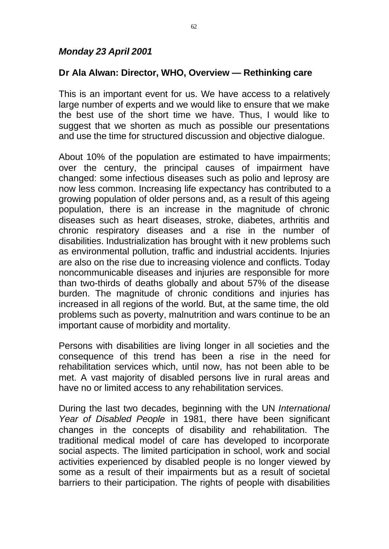## *Monday 23 April 2001*

# **Dr Ala Alwan: Director, WHO, Overview — Rethinking care**

This is an important event for us. We have access to a relatively large number of experts and we would like to ensure that we make the best use of the short time we have. Thus, I would like to suggest that we shorten as much as possible our presentations and use the time for structured discussion and objective dialogue.

About 10% of the population are estimated to have impairments; over the century, the principal causes of impairment have changed: some infectious diseases such as polio and leprosy are now less common. Increasing life expectancy has contributed to a growing population of older persons and, as a result of this ageing population, there is an increase in the magnitude of chronic diseases such as heart diseases, stroke, diabetes, arthritis and chronic respiratory diseases and a rise in the number of disabilities. Industrialization has brought with it new problems such as environmental pollution, traffic and industrial accidents. Injuries are also on the rise due to increasing violence and conflicts. Today noncommunicable diseases and injuries are responsible for more than two-thirds of deaths globally and about 57% of the disease burden. The magnitude of chronic conditions and injuries has increased in all regions of the world. But, at the same time, the old problems such as poverty, malnutrition and wars continue to be an important cause of morbidity and mortality.

Persons with disabilities are living longer in all societies and the consequence of this trend has been a rise in the need for rehabilitation services which, until now, has not been able to be met. A vast majority of disabled persons live in rural areas and have no or limited access to any rehabilitation services.

During the last two decades, beginning with the UN *International Year of Disabled People* in 1981, there have been significant changes in the concepts of disability and rehabilitation. The traditional medical model of care has developed to incorporate social aspects. The limited participation in school, work and social activities experienced by disabled people is no longer viewed by some as a result of their impairments but as a result of societal barriers to their participation. The rights of people with disabilities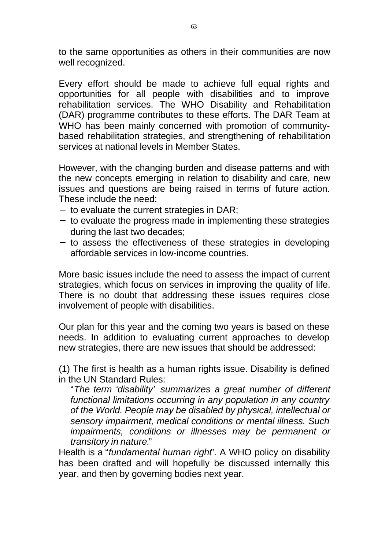to the same opportunities as others in their communities are now well recognized.

Every effort should be made to achieve full equal rights and opportunities for all people with disabilities and to improve rehabilitation services. The WHO Disability and Rehabilitation (DAR) programme contributes to these efforts. The DAR Team at WHO has been mainly concerned with promotion of communitybased rehabilitation strategies, and strengthening of rehabilitation services at national levels in Member States.

However, with the changing burden and disease patterns and with the new concepts emerging in relation to disability and care, new issues and questions are being raised in terms of future action. These include the need:

- to evaluate the current strategies in DAR;
- to evaluate the progress made in implementing these strategies during the last two decades;
- to assess the effectiveness of these strategies in developing affordable services in low-income countries.

More basic issues include the need to assess the impact of current strategies, which focus on services in improving the quality of life. There is no doubt that addressing these issues requires close involvement of people with disabilities.

Our plan for this year and the coming two years is based on these needs. In addition to evaluating current approaches to develop new strategies, there are new issues that should be addressed:

(1) The first is health as a human rights issue. Disability is defined in the UN Standard Rules:

"*The term 'disability' summarizes a great number of different functional limitations occurring in any population in any country of the World. People may be disabled by physical, intellectual or sensory impairment, medical conditions or mental illness. Such impairments, conditions or illnesses may be permanent or transitory in nature.*"

Health is a "*fundamental human right*"*.* A WHO policy on disability has been drafted and will hopefully be discussed internally this year, and then by governing bodies next year.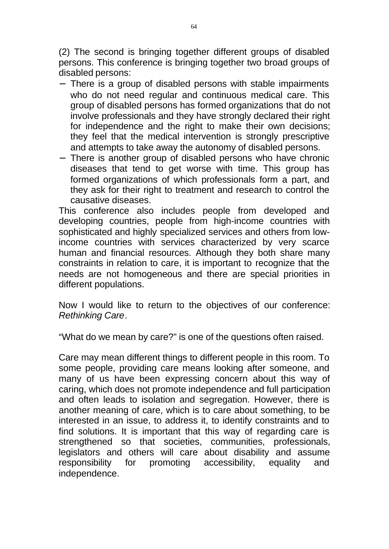(2) The second is bringing together different groups of disabled persons. This conference is bringing together two broad groups of disabled persons:

- There is a group of disabled persons with stable impairments who do not need regular and continuous medical care. This group of disabled persons has formed organizations that do not involve professionals and they have strongly declared their right for independence and the right to make their own decisions; they feel that the medical intervention is strongly prescriptive and attempts to take away the autonomy of disabled persons.
- There is another group of disabled persons who have chronic diseases that tend to get worse with time. This group has formed organizations of which professionals form a part, and they ask for their right to treatment and research to control the causative diseases.

This conference also includes people from developed and developing countries, people from high-income countries with sophisticated and highly specialized services and others from lowincome countries with services characterized by very scarce human and financial resources. Although they both share many constraints in relation to care, it is important to recognize that the needs are not homogeneous and there are special priorities in different populations.

Now I would like to return to the objectives of our conference: *Rethinking Care*.

"What do we mean by care?" is one of the questions often raised.

Care may mean different things to different people in this room. To some people, providing care means looking after someone, and many of us have been expressing concern about this way of caring, which does not promote independence and full participation and often leads to isolation and segregation. However, there is another meaning of care, which is to care about something, to be interested in an issue, to address it, to identify constraints and to find solutions. It is important that this way of regarding care is strengthened so that societies, communities, professionals, legislators and others will care about disability and assume responsibility for promoting accessibility, equality and independence.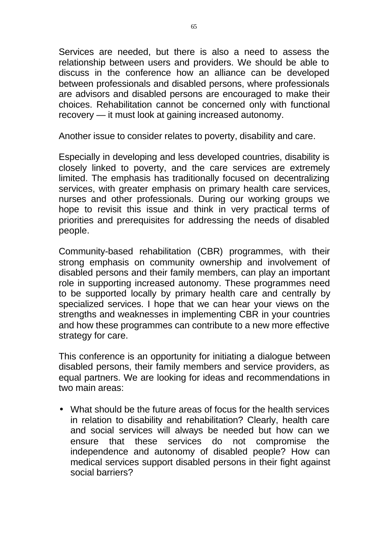Services are needed, but there is also a need to assess the relationship between users and providers. We should be able to discuss in the conference how an alliance can be developed between professionals and disabled persons, where professionals are advisors and disabled persons are encouraged to make their choices. Rehabilitation cannot be concerned only with functional recovery — it must look at gaining increased autonomy.

Another issue to consider relates to poverty, disability and care.

Especially in developing and less developed countries, disability is closely linked to poverty, and the care services are extremely limited. The emphasis has traditionally focused on decentralizing services, with greater emphasis on primary health care services, nurses and other professionals. During our working groups we hope to revisit this issue and think in very practical terms of priorities and prerequisites for addressing the needs of disabled people.

Community-based rehabilitation (CBR) programmes, with their strong emphasis on community ownership and involvement of disabled persons and their family members, can play an important role in supporting increased autonomy. These programmes need to be supported locally by primary health care and centrally by specialized services. I hope that we can hear your views on the strengths and weaknesses in implementing CBR in your countries and how these programmes can contribute to a new more effective strategy for care.

This conference is an opportunity for initiating a dialogue between disabled persons, their family members and service providers, as equal partners. We are looking for ideas and recommendations in two main areas:

• What should be the future areas of focus for the health services in relation to disability and rehabilitation? Clearly, health care and social services will always be needed but how can we ensure that these services do not compromise the independence and autonomy of disabled people? How can medical services support disabled persons in their fight against social barriers?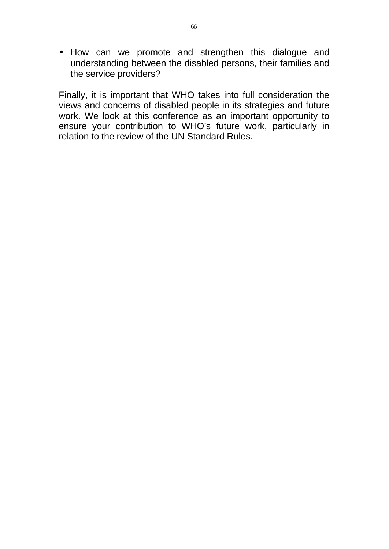• How can we promote and strengthen this dialogue and understanding between the disabled persons, their families and the service providers?

Finally, it is important that WHO takes into full consideration the views and concerns of disabled people in its strategies and future work. We look at this conference as an important opportunity to ensure your contribution to WHO's future work, particularly in relation to the review of the UN Standard Rules.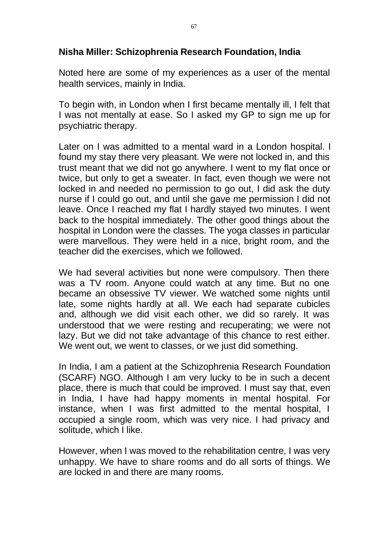#### **Nisha Miller: Schizophrenia Research Foundation, India**

Noted here are some of my experiences as a user of the mental health services, mainly in India.

To begin with, in London when I first became mentally ill, I felt that I was not mentally at ease. So I asked my GP to sign me up for psychiatric therapy.

Later on I was admitted to a mental ward in a London hospital. I found my stay there very pleasant. We were not locked in, and this trust meant that we did not go anywhere. I went to my flat once or twice, but only to get a sweater. In fact, even though we were not locked in and needed no permission to go out, I did ask the duty nurse if I could go out, and until she gave me permission I did not leave. Once I reached my flat I hardly stayed two minutes. I went back to the hospital immediately. The other good things about the hospital in London were the classes. The yoga classes in particular were marvellous. They were held in a nice, bright room, and the teacher did the exercises, which we followed.

We had several activities but none were compulsory. Then there was a TV room. Anyone could watch at any time. But no one became an obsessive TV viewer. We watched some nights until late, some nights hardly at all. We each had separate cubicles and, although we did visit each other, we did so rarely. It was understood that we were resting and recuperating; we were not lazy. But we did not take advantage of this chance to rest either. We went out, we went to classes, or we just did something.

In India, I am a patient at the Schizophrenia Research Foundation (SCARF) NGO. Although I am very lucky to be in such a decent place, there is much that could be improved. I must say that, even in India, I have had happy moments in mental hospital. For instance, when I was first admitted to the mental hospital, I occupied a single room, which was very nice. I had privacy and solitude, which I like.

However, when I was moved to the rehabilitation centre, I was very unhappy. We have to share rooms and do all sorts of things. We are locked in and there are many rooms.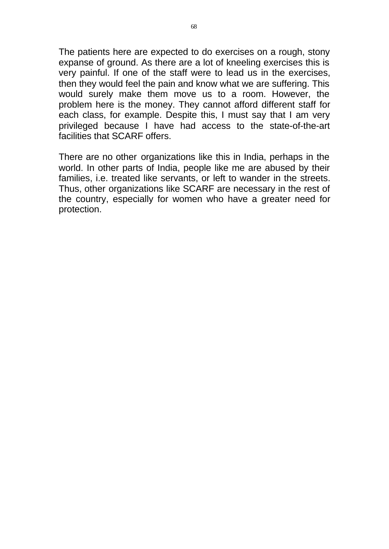The patients here are expected to do exercises on a rough, stony expanse of ground. As there are a lot of kneeling exercises this is very painful. If one of the staff were to lead us in the exercises, then they would feel the pain and know what we are suffering. This would surely make them move us to a room. However, the problem here is the money. They cannot afford different staff for each class, for example. Despite this, I must say that I am very privileged because I have had access to the state-of-the-art facilities that SCARF offers.

There are no other organizations like this in India, perhaps in the world. In other parts of India, people like me are abused by their families, i.e. treated like servants, or left to wander in the streets. Thus, other organizations like SCARF are necessary in the rest of the country, especially for women who have a greater need for protection.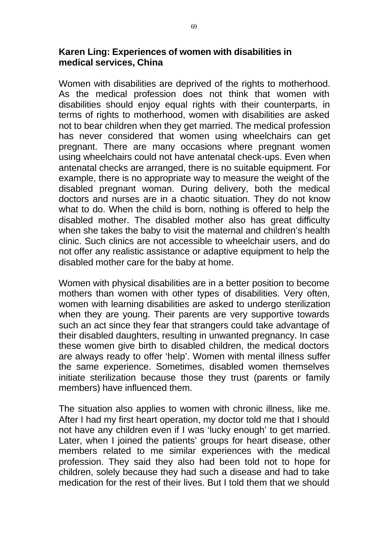## **Karen Ling: Experiences of women with disabilities in medical services, China**

Women with disabilities are deprived of the rights to motherhood. As the medical profession does not think that women with disabilities should enjoy equal rights with their counterparts, in terms of rights to motherhood, women with disabilities are asked not to bear children when they get married. The medical profession has never considered that women using wheelchairs can get pregnant. There are many occasions where pregnant women using wheelchairs could not have antenatal check-ups. Even when antenatal checks are arranged, there is no suitable equipment. For example, there is no appropriate way to measure the weight of the disabled pregnant woman. During delivery, both the medical doctors and nurses are in a chaotic situation. They do not know what to do. When the child is born, nothing is offered to help the disabled mother. The disabled mother also has great difficulty when she takes the baby to visit the maternal and children's health clinic. Such clinics are not accessible to wheelchair users, and do not offer any realistic assistance or adaptive equipment to help the disabled mother care for the baby at home.

Women with physical disabilities are in a better position to become mothers than women with other types of disabilities. Very often, women with learning disabilities are asked to undergo sterilization when they are young. Their parents are very supportive towards such an act since they fear that strangers could take advantage of their disabled daughters, resulting in unwanted pregnancy. In case these women give birth to disabled children, the medical doctors are always ready to offer 'help'. Women with mental illness suffer the same experience. Sometimes, disabled women themselves initiate sterilization because those they trust (parents or family members) have influenced them.

The situation also applies to women with chronic illness, like me. After I had my first heart operation, my doctor told me that I should not have any children even if I was 'lucky enough' to get married. Later, when I joined the patients' groups for heart disease, other members related to me similar experiences with the medical profession. They said they also had been told not to hope for children, solely because they had such a disease and had to take medication for the rest of their lives. But I told them that we should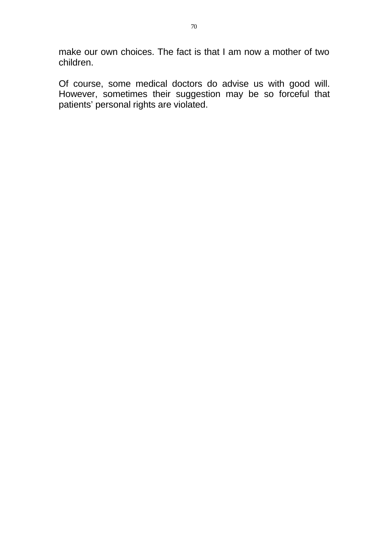make our own choices. The fact is that I am now a mother of two children.

Of course, some medical doctors do advise us with good will. However, sometimes their suggestion may be so forceful that patients' personal rights are violated.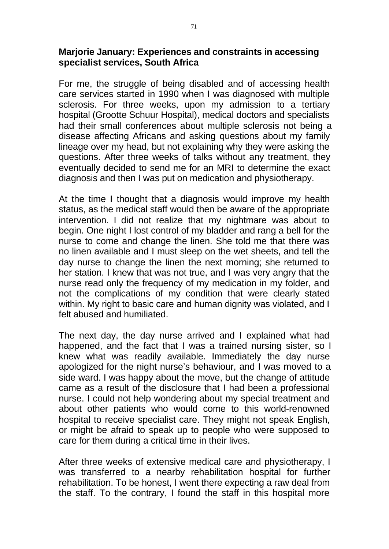#### **Marjorie January: Experiences and constraints in accessing specialist services, South Africa**

For me, the struggle of being disabled and of accessing health care services started in 1990 when I was diagnosed with multiple sclerosis. For three weeks, upon my admission to a tertiary hospital (Grootte Schuur Hospital), medical doctors and specialists had their small conferences about multiple sclerosis not being a disease affecting Africans and asking questions about my family lineage over my head, but not explaining why they were asking the questions. After three weeks of talks without any treatment, they eventually decided to send me for an MRI to determine the exact diagnosis and then I was put on medication and physiotherapy.

At the time I thought that a diagnosis would improve my health status, as the medical staff would then be aware of the appropriate intervention. I did not realize that my nightmare was about to begin. One night I lost control of my bladder and rang a bell for the nurse to come and change the linen. She told me that there was no linen available and I must sleep on the wet sheets, and tell the day nurse to change the linen the next morning; she returned to her station. I knew that was not true, and I was very angry that the nurse read only the frequency of my medication in my folder, and not the complications of my condition that were clearly stated within. My right to basic care and human dignity was violated, and I felt abused and humiliated.

The next day, the day nurse arrived and I explained what had happened, and the fact that I was a trained nursing sister, so I knew what was readily available. Immediately the day nurse apologized for the night nurse's behaviour, and I was moved to a side ward. I was happy about the move, but the change of attitude came as a result of the disclosure that I had been a professional nurse. I could not help wondering about my special treatment and about other patients who would come to this world-renowned hospital to receive specialist care. They might not speak English, or might be afraid to speak up to people who were supposed to care for them during a critical time in their lives.

After three weeks of extensive medical care and physiotherapy, I was transferred to a nearby rehabilitation hospital for further rehabilitation. To be honest, I went there expecting a raw deal from the staff. To the contrary, I found the staff in this hospital more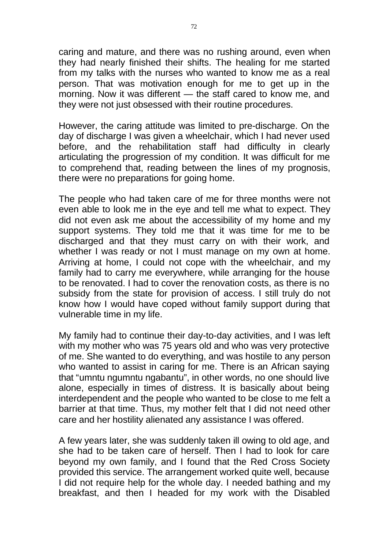caring and mature, and there was no rushing around, even when they had nearly finished their shifts. The healing for me started from my talks with the nurses who wanted to know me as a real person. That was motivation enough for me to get up in the morning. Now it was different — the staff cared to know me, and they were not just obsessed with their routine procedures.

However, the caring attitude was limited to pre-discharge. On the day of discharge I was given a wheelchair, which I had never used before, and the rehabilitation staff had difficulty in clearly articulating the progression of my condition. It was difficult for me to comprehend that, reading between the lines of my prognosis, there were no preparations for going home.

The people who had taken care of me for three months were not even able to look me in the eye and tell me what to expect. They did not even ask me about the accessibility of my home and my support systems. They told me that it was time for me to be discharged and that they must carry on with their work, and whether I was ready or not I must manage on my own at home. Arriving at home, I could not cope with the wheelchair, and my family had to carry me everywhere, while arranging for the house to be renovated. I had to cover the renovation costs, as there is no subsidy from the state for provision of access. I still truly do not know how I would have coped without family support during that vulnerable time in my life.

My family had to continue their day-to-day activities, and I was left with my mother who was 75 years old and who was very protective of me. She wanted to do everything, and was hostile to any person who wanted to assist in caring for me. There is an African saying that "umntu ngumntu ngabantu", in other words, no one should live alone, especially in times of distress. It is basically about being interdependent and the people who wanted to be close to me felt a barrier at that time. Thus, my mother felt that I did not need other care and her hostility alienated any assistance I was offered.

A few years later, she was suddenly taken ill owing to old age, and she had to be taken care of herself. Then I had to look for care beyond my own family, and I found that the Red Cross Society provided this service. The arrangement worked quite well, because I did not require help for the whole day. I needed bathing and my breakfast, and then I headed for my work with the Disabled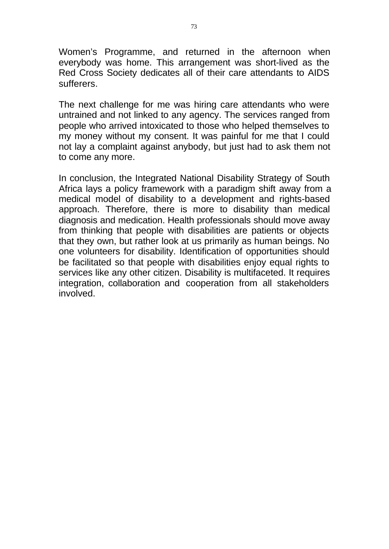Women's Programme, and returned in the afternoon when everybody was home. This arrangement was short-lived as the Red Cross Society dedicates all of their care attendants to AIDS sufferers.

The next challenge for me was hiring care attendants who were untrained and not linked to any agency. The services ranged from people who arrived intoxicated to those who helped themselves to my money without my consent. It was painful for me that I could not lay a complaint against anybody, but just had to ask them not to come any more.

In conclusion, the Integrated National Disability Strategy of South Africa lays a policy framework with a paradigm shift away from a medical model of disability to a development and rights-based approach. Therefore, there is more to disability than medical diagnosis and medication. Health professionals should move away from thinking that people with disabilities are patients or objects that they own, but rather look at us primarily as human beings. No one volunteers for disability. Identification of opportunities should be facilitated so that people with disabilities enjoy equal rights to services like any other citizen. Disability is multifaceted. It requires integration, collaboration and cooperation from all stakeholders involved.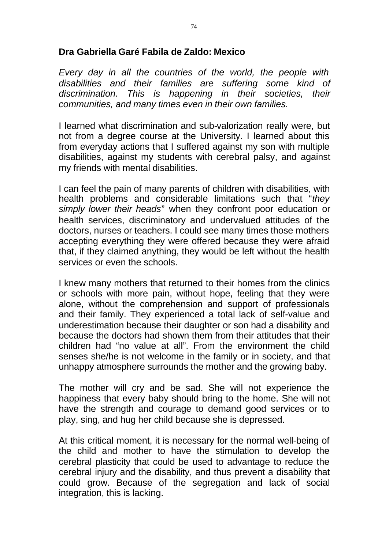### **Dra Gabriella Garé Fabila de Zaldo: Mexico**

*Every day in all the countries of the world, the people with disabilities and their families are suffering some kind of discrimination. This is happening in their societies, their communities, and many times even in their own families.* 

I learned what discrimination and sub-valorization really were, but not from a degree course at the University. I learned about this from everyday actions that I suffered against my son with multiple disabilities, against my students with cerebral palsy, and against my friends with mental disabilities.

I can feel the pain of many parents of children with disabilities, with health problems and considerable limitations such that "*they simply lower their heads*" when they confront poor education or health services, discriminatory and undervalued attitudes of the doctors, nurses or teachers. I could see many times those mothers accepting everything they were offered because they were afraid that, if they claimed anything, they would be left without the health services or even the schools.

I knew many mothers that returned to their homes from the clinics or schools with more pain, without hope, feeling that they were alone, without the comprehension and support of professionals and their family. They experienced a total lack of self-value and underestimation because their daughter or son had a disability and because the doctors had shown them from their attitudes that their children had "no value at all". From the environment the child senses she/he is not welcome in the family or in society, and that unhappy atmosphere surrounds the mother and the growing baby.

The mother will cry and be sad. She will not experience the happiness that every baby should bring to the home. She will not have the strength and courage to demand good services or to play, sing, and hug her child because she is depressed.

At this critical moment, it is necessary for the normal well-being of the child and mother to have the stimulation to develop the cerebral plasticity that could be used to advantage to reduce the cerebral injury and the disability, and thus prevent a disability that could grow. Because of the segregation and lack of social integration, this is lacking.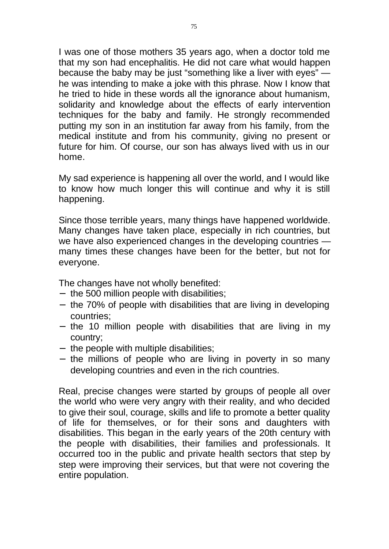I was one of those mothers 35 years ago, when a doctor told me that my son had encephalitis. He did not care what would happen because the baby may be just "something like a liver with eyes" he was intending to make a joke with this phrase. Now I know that he tried to hide in these words all the ignorance about humanism, solidarity and knowledge about the effects of early intervention techniques for the baby and family. He strongly recommended putting my son in an institution far away from his family, from the medical institute and from his community, giving no present or future for him. Of course, our son has always lived with us in our home.

My sad experience is happening all over the world, and I would like to know how much longer this will continue and why it is still happening.

Since those terrible years, many things have happened worldwide. Many changes have taken place, especially in rich countries, but we have also experienced changes in the developing countries many times these changes have been for the better, but not for everyone.

The changes have not wholly benefited:

- $-$  the 500 million people with disabilities;
- the 70% of people with disabilities that are living in developing countries;
- $-$  the 10 million people with disabilities that are living in my country;
- $-$  the people with multiple disabilities;
- $-$  the millions of people who are living in poverty in so many developing countries and even in the rich countries.

Real, precise changes were started by groups of people all over the world who were very angry with their reality, and who decided to give their soul, courage, skills and life to promote a better quality of life for themselves, or for their sons and daughters with disabilities. This began in the early years of the 20th century with the people with disabilities, their families and professionals. It occurred too in the public and private health sectors that step by step were improving their services, but that were not covering the entire population.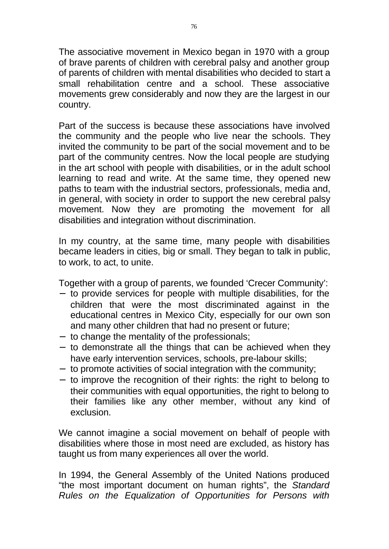The associative movement in Mexico began in 1970 with a group of brave parents of children with cerebral palsy and another group of parents of children with mental disabilities who decided to start a small rehabilitation centre and a school. These associative movements grew considerably and now they are the largest in our country.

Part of the success is because these associations have involved the community and the people who live near the schools. They invited the community to be part of the social movement and to be part of the community centres. Now the local people are studying in the art school with people with disabilities, or in the adult school learning to read and write. At the same time, they opened new paths to team with the industrial sectors, professionals, media and, in general, with society in order to support the new cerebral palsy movement. Now they are promoting the movement for all disabilities and integration without discrimination.

In my country, at the same time, many people with disabilities became leaders in cities, big or small. They began to talk in public, to work, to act, to unite.

Together with a group of parents, we founded 'Crecer Community':

- to provide services for people with multiple disabilities, for the children that were the most discriminated against in the educational centres in Mexico City, especially for our own son and many other children that had no present or future;
- to change the mentality of the professionals;
- to demonstrate all the things that can be achieved when they have early intervention services, schools, pre-labour skills;
- to promote activities of social integration with the community;
- to improve the recognition of their rights: the right to belong to their communities with equal opportunities, the right to belong to their families like any other member, without any kind of exclusion.

We cannot imagine a social movement on behalf of people with disabilities where those in most need are excluded, as history has taught us from many experiences all over the world.

In 1994, the General Assembly of the United Nations produced "the most important document on human rights", the *Standard Rules on the Equalization of Opportunities for Persons with*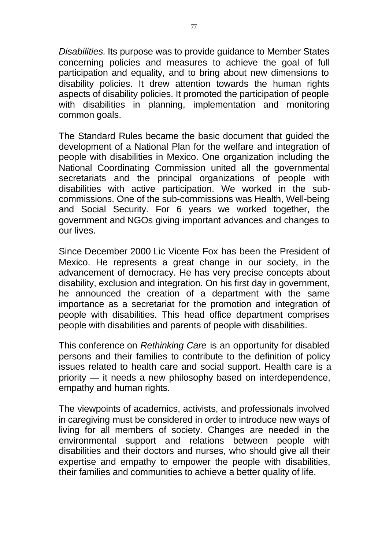*Disabilities.* Its purpose was to provide guidance to Member States concerning policies and measures to achieve the goal of full participation and equality, and to bring about new dimensions to disability policies. It drew attention towards the human rights aspects of disability policies. It promoted the participation of people with disabilities in planning, implementation and monitoring common goals.

The Standard Rules became the basic document that guided the development of a National Plan for the welfare and integration of people with disabilities in Mexico. One organization including the National Coordinating Commission united all the governmental secretariats and the principal organizations of people with disabilities with active participation. We worked in the subcommissions. One of the sub-commissions was Health, Well-being and Social Security. For 6 years we worked together, the government and NGOs giving important advances and changes to our lives.

Since December 2000 Lic Vicente Fox has been the President of Mexico. He represents a great change in our society, in the advancement of democracy. He has very precise concepts about disability, exclusion and integration. On his first day in government, he announced the creation of a department with the same importance as a secretariat for the promotion and integration of people with disabilities. This head office department comprises people with disabilities and parents of people with disabilities.

This conference on *Rethinking Care* is an opportunity for disabled persons and their families to contribute to the definition of policy issues related to health care and social support. Health care is a priority — it needs a new philosophy based on interdependence, empathy and human rights.

The viewpoints of academics, activists, and professionals involved in caregiving must be considered in order to introduce new ways of living for all members of society. Changes are needed in the environmental support and relations between people with disabilities and their doctors and nurses, who should give all their expertise and empathy to empower the people with disabilities, their families and communities to achieve a better quality of life.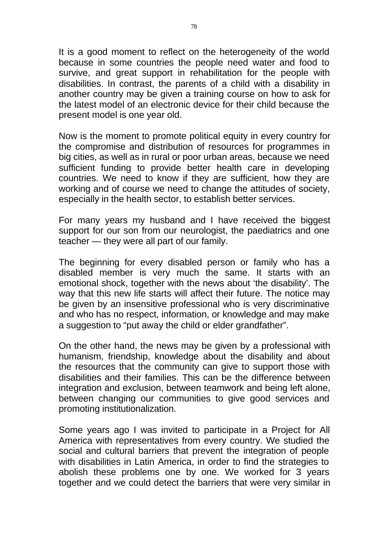It is a good moment to reflect on the heterogeneity of the world because in some countries the people need water and food to survive, and great support in rehabilitation for the people with disabilities. In contrast, the parents of a child with a disability in another country may be given a training course on how to ask for the latest model of an electronic device for their child because the present model is one year old.

Now is the moment to promote political equity in every country for the compromise and distribution of resources for programmes in big cities, as well as in rural or poor urban areas, because we need sufficient funding to provide better health care in developing countries. We need to know if they are sufficient, how they are working and of course we need to change the attitudes of society, especially in the health sector, to establish better services.

For many years my husband and I have received the biggest support for our son from our neurologist, the paediatrics and one teacher — they were all part of our family.

The beginning for every disabled person or family who has a disabled member is very much the same. It starts with an emotional shock, together with the news about 'the disability'. The way that this new life starts will affect their future. The notice may be given by an insensitive professional who is very discriminative and who has no respect, information, or knowledge and may make a suggestion to "put away the child or elder grandfather".

On the other hand, the news may be given by a professional with humanism, friendship, knowledge about the disability and about the resources that the community can give to support those with disabilities and their families. This can be the difference between integration and exclusion, between teamwork and being left alone, between changing our communities to give good services and promoting institutionalization.

Some years ago I was invited to participate in a Project for All America with representatives from every country. We studied the social and cultural barriers that prevent the integration of people with disabilities in Latin America, in order to find the strategies to abolish these problems one by one. We worked for 3 years together and we could detect the barriers that were very similar in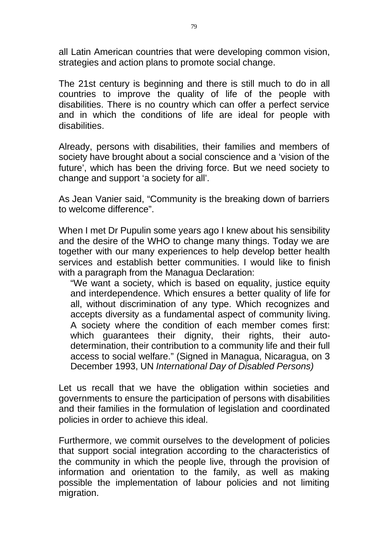all Latin American countries that were developing common vision, strategies and action plans to promote social change.

The 21st century is beginning and there is still much to do in all countries to improve the quality of life of the people with disabilities. There is no country which can offer a perfect service and in which the conditions of life are ideal for people with disabilities.

Already, persons with disabilities, their families and members of society have brought about a social conscience and a 'vision of the future', which has been the driving force. But we need society to change and support 'a society for all'.

As Jean Vanier said, "Community is the breaking down of barriers to welcome difference".

When I met Dr Pupulin some years ago I knew about his sensibility and the desire of the WHO to change many things. Today we are together with our many experiences to help develop better health services and establish better communities. I would like to finish with a paragraph from the Managua Declaration:

"We want a society, which is based on equality, justice equity and interdependence. Which ensures a better quality of life for all, without discrimination of any type. Which recognizes and accepts diversity as a fundamental aspect of community living. A society where the condition of each member comes first: which guarantees their dignity, their rights, their autodetermination, their contribution to a community life and their full access to social welfare." (Signed in Managua, Nicaragua, on 3 December 1993, UN *International Day of Disabled Persons)* 

Let us recall that we have the obligation within societies and governments to ensure the participation of persons with disabilities and their families in the formulation of legislation and coordinated policies in order to achieve this ideal.

Furthermore, we commit ourselves to the development of policies that support social integration according to the characteristics of the community in which the people live, through the provision of information and orientation to the family, as well as making possible the implementation of labour policies and not limiting migration.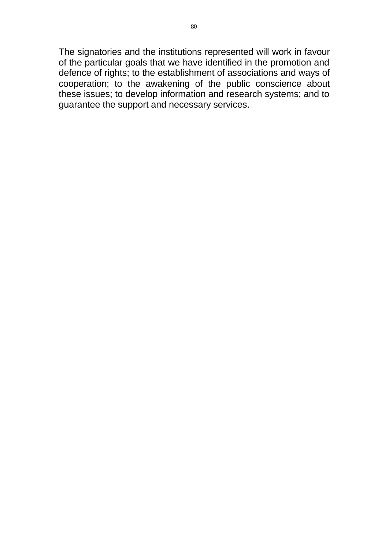The signatories and the institutions represented will work in favour of the particular goals that we have identified in the promotion and defence of rights; to the establishment of associations and ways of cooperation; to the awakening of the public conscience about these issues; to develop information and research systems; and to guarantee the support and necessary services.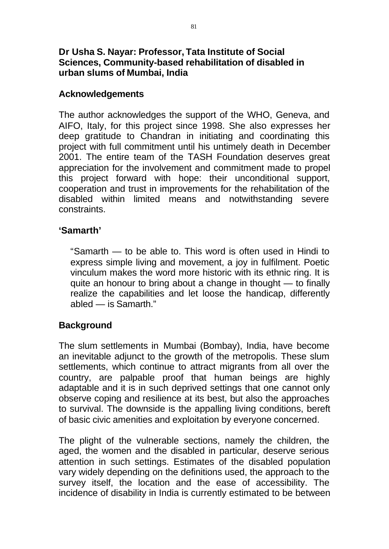## **Dr Usha S. Nayar: Professor, Tata Institute of Social Sciences, Community-based rehabilitation of disabled in urban slums of Mumbai, India**

## **Acknowledgements**

The author acknowledges the support of the WHO, Geneva, and AIFO, Italy, for this project since 1998. She also expresses her deep gratitude to Chandran in initiating and coordinating this project with full commitment until his untimely death in December 2001. The entire team of the TASH Foundation deserves great appreciation for the involvement and commitment made to propel this project forward with hope: their unconditional support, cooperation and trust in improvements for the rehabilitation of the disabled within limited means and notwithstanding severe constraints.

#### **'Samarth'**

"Samarth — to be able to. This word is often used in Hindi to express simple living and movement, a joy in fulfilment. Poetic vinculum makes the word more historic with its ethnic ring. It is quite an honour to bring about a change in thought — to finally realize the capabilities and let loose the handicap, differently abled — is Samarth."

#### **Background**

The slum settlements in Mumbai (Bombay), India, have become an inevitable adjunct to the growth of the metropolis. These slum settlements, which continue to attract migrants from all over the country, are palpable proof that human beings are highly adaptable and it is in such deprived settings that one cannot only observe coping and resilience at its best, but also the approaches to survival. The downside is the appalling living conditions, bereft of basic civic amenities and exploitation by everyone concerned.

The plight of the vulnerable sections, namely the children, the aged, the women and the disabled in particular, deserve serious attention in such settings. Estimates of the disabled population vary widely depending on the definitions used, the approach to the survey itself, the location and the ease of accessibility. The incidence of disability in India is currently estimated to be between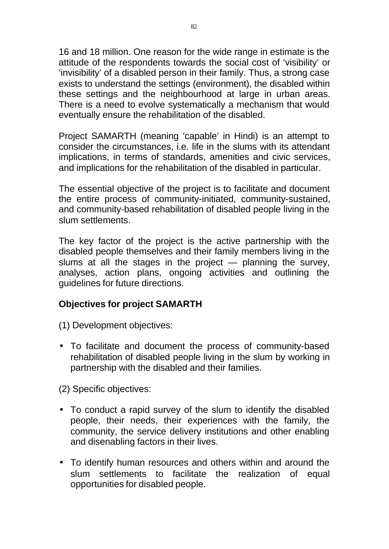16 and 18 million. One reason for the wide range in estimate is the attitude of the respondents towards the social cost of 'visibility' or 'invisibility' of a disabled person in their family. Thus, a strong case exists to understand the settings (environment), the disabled within these settings and the neighbourhood at large in urban areas. There is a need to evolve systematically a mechanism that would eventually ensure the rehabilitation of the disabled.

Project SAMARTH (meaning 'capable' in Hindi) is an attempt to consider the circumstances, i.e. life in the slums with its attendant implications, in terms of standards, amenities and civic services, and implications for the rehabilitation of the disabled in particular.

The essential objective of the project is to facilitate and document the entire process of community-initiated, community-sustained, and community-based rehabilitation of disabled people living in the slum settlements.

The key factor of the project is the active partnership with the disabled people themselves and their family members living in the slums at all the stages in the project — planning the survey, analyses, action plans, ongoing activities and outlining the guidelines for future directions.

## **Objectives for project SAMARTH**

(1) Development objectives:

• To facilitate and document the process of community-based rehabilitation of disabled people living in the slum by working in partnership with the disabled and their families.

(2) Specific objectives:

- To conduct a rapid survey of the slum to identify the disabled people, their needs, their experiences with the family, the community, the service delivery institutions and other enabling and disenabling factors in their lives.
- To identify human resources and others within and around the slum settlements to facilitate the realization of equal opportunities for disabled people.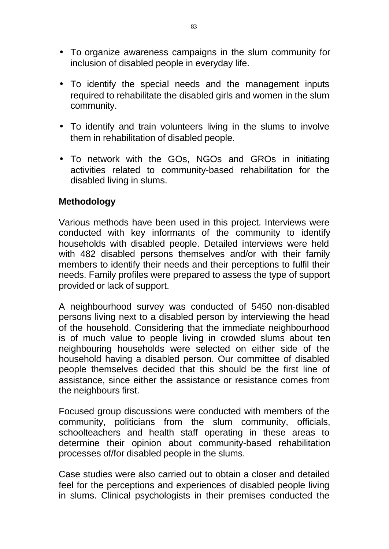- To organize awareness campaigns in the slum community for inclusion of disabled people in everyday life.
- To identify the special needs and the management inputs required to rehabilitate the disabled girls and women in the slum community.
- To identify and train volunteers living in the slums to involve them in rehabilitation of disabled people.
- To network with the GOs, NGOs and GROs in initiating activities related to community-based rehabilitation for the disabled living in slums.

## **Methodology**

Various methods have been used in this project. Interviews were conducted with key informants of the community to identify households with disabled people. Detailed interviews were held with 482 disabled persons themselves and/or with their family members to identify their needs and their perceptions to fulfil their needs. Family profiles were prepared to assess the type of support provided or lack of support.

A neighbourhood survey was conducted of 5450 non-disabled persons living next to a disabled person by interviewing the head of the household. Considering that the immediate neighbourhood is of much value to people living in crowded slums about ten neighbouring households were selected on either side of the household having a disabled person. Our committee of disabled people themselves decided that this should be the first line of assistance, since either the assistance or resistance comes from the neighbours first.

Focused group discussions were conducted with members of the community, politicians from the slum community, officials, schoolteachers and health staff operating in these areas to determine their opinion about community-based rehabilitation processes of/for disabled people in the slums.

Case studies were also carried out to obtain a closer and detailed feel for the perceptions and experiences of disabled people living in slums. Clinical psychologists in their premises conducted the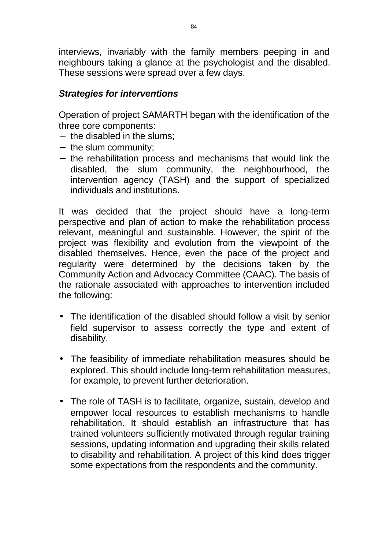interviews, invariably with the family members peeping in and neighbours taking a glance at the psychologist and the disabled. These sessions were spread over a few days.

## *Strategies for interventions*

Operation of project SAMARTH began with the identification of the three core components:

- the disabled in the slums;
- the slum community;
- the rehabilitation process and mechanisms that would link the disabled, the slum community, the neighbourhood, the intervention agency (TASH) and the support of specialized individuals and institutions.

It was decided that the project should have a long-term perspective and plan of action to make the rehabilitation process relevant, meaningful and sustainable. However, the spirit of the project was flexibility and evolution from the viewpoint of the disabled themselves. Hence, even the pace of the project and regularity were determined by the decisions taken by the Community Action and Advocacy Committee (CAAC). The basis of the rationale associated with approaches to intervention included the following:

- The identification of the disabled should follow a visit by senior field supervisor to assess correctly the type and extent of disability.
- The feasibility of immediate rehabilitation measures should be explored. This should include long-term rehabilitation measures, for example, to prevent further deterioration.
- The role of TASH is to facilitate, organize, sustain, develop and empower local resources to establish mechanisms to handle rehabilitation. It should establish an infrastructure that has trained volunteers sufficiently motivated through regular training sessions, updating information and upgrading their skills related to disability and rehabilitation. A project of this kind does trigger some expectations from the respondents and the community.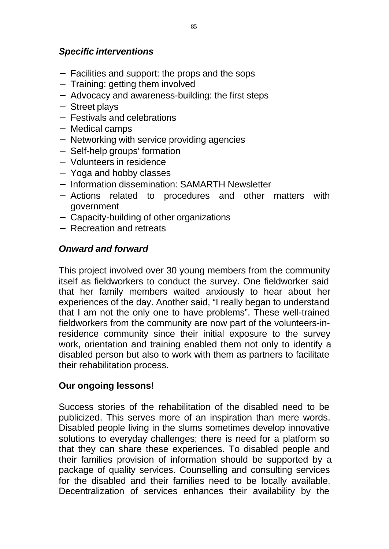## *Specific interventions*

- Facilities and support: the props and the sops
- Training: getting them involved
- Advocacy and awareness-building: the first steps
- Street plays
- Festivals and celebrations
- Medical camps
- Networking with service providing agencies
- Self-help groups' formation
- Volunteers in residence
- Yoga and hobby classes
- Information dissemination: SAMARTH Newsletter
- Actions related to procedures and other matters with government
- Capacity-building of other organizations
- Recreation and retreats

## *Onward and forward*

This project involved over 30 young members from the community itself as fieldworkers to conduct the survey. One fieldworker said that her family members waited anxiously to hear about her experiences of the day. Another said, "I really began to understand that I am not the only one to have problems". These well-trained fieldworkers from the community are now part of the volunteers-inresidence community since their initial exposure to the survey work, orientation and training enabled them not only to identify a disabled person but also to work with them as partners to facilitate their rehabilitation process.

## **Our ongoing lessons!**

Success stories of the rehabilitation of the disabled need to be publicized. This serves more of an inspiration than mere words. Disabled people living in the slums sometimes develop innovative solutions to everyday challenges; there is need for a platform so that they can share these experiences. To disabled people and their families provision of information should be supported by a package of quality services. Counselling and consulting services for the disabled and their families need to be locally available. Decentralization of services enhances their availability by the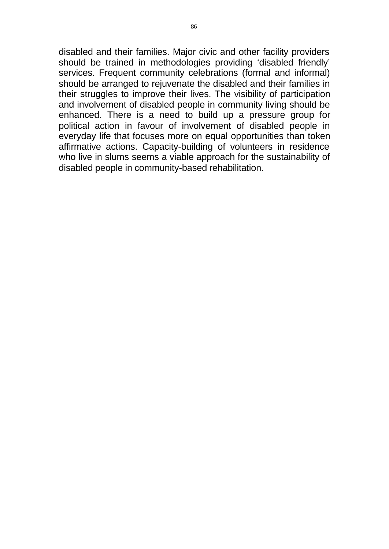disabled and their families. Major civic and other facility providers should be trained in methodologies providing 'disabled friendly' services. Frequent community celebrations (formal and informal) should be arranged to rejuvenate the disabled and their families in their struggles to improve their lives. The visibility of participation and involvement of disabled people in community living should be enhanced. There is a need to build up a pressure group for political action in favour of involvement of disabled people in everyday life that focuses more on equal opportunities than token affirmative actions. Capacity-building of volunteers in residence who live in slums seems a viable approach for the sustainability of disabled people in community-based rehabilitation.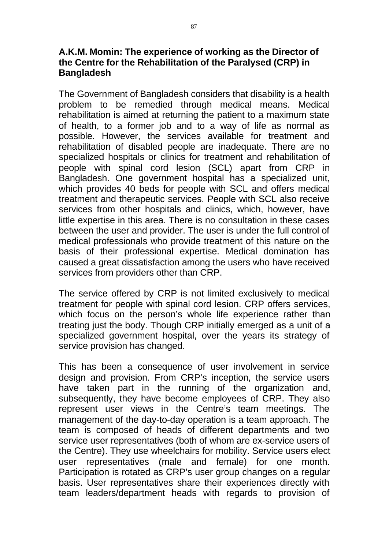#### **A.K.M. Momin: The experience of working as the Director of the Centre for the Rehabilitation of the Paralysed (CRP) in Bangladesh**

The Government of Bangladesh considers that disability is a health problem to be remedied through medical means. Medical rehabilitation is aimed at returning the patient to a maximum state of health, to a former job and to a way of life as normal as possible. However, the services available for treatment and rehabilitation of disabled people are inadequate. There are no specialized hospitals or clinics for treatment and rehabilitation of people with spinal cord lesion (SCL) apart from CRP in Bangladesh. One government hospital has a specialized unit, which provides 40 beds for people with SCL and offers medical treatment and therapeutic services. People with SCL also receive services from other hospitals and clinics, which, however, have little expertise in this area. There is no consultation in these cases between the user and provider. The user is under the full control of medical professionals who provide treatment of this nature on the basis of their professional expertise. Medical domination has caused a great dissatisfaction among the users who have received services from providers other than CRP.

The service offered by CRP is not limited exclusively to medical treatment for people with spinal cord lesion. CRP offers services, which focus on the person's whole life experience rather than treating just the body. Though CRP initially emerged as a unit of a specialized government hospital, over the years its strategy of service provision has changed.

This has been a consequence of user involvement in service design and provision. From CRP's inception, the service users have taken part in the running of the organization and, subsequently, they have become employees of CRP. They also represent user views in the Centre's team meetings. The management of the day-to-day operation is a team approach. The team is composed of heads of different departments and two service user representatives (both of whom are ex-service users of the Centre). They use wheelchairs for mobility. Service users elect user representatives (male and female) for one month. Participation is rotated as CRP's user group changes on a regular basis. User representatives share their experiences directly with team leaders/department heads with regards to provision of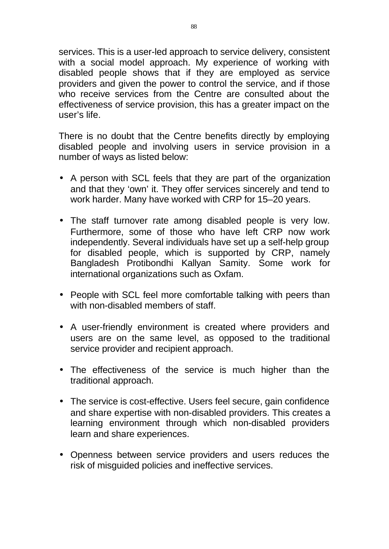services. This is a user-led approach to service delivery, consistent with a social model approach. My experience of working with disabled people shows that if they are employed as service providers and given the power to control the service, and if those who receive services from the Centre are consulted about the effectiveness of service provision, this has a greater impact on the user's life.

There is no doubt that the Centre benefits directly by employing disabled people and involving users in service provision in a number of ways as listed below:

- A person with SCL feels that they are part of the organization and that they 'own' it. They offer services sincerely and tend to work harder. Many have worked with CRP for 15–20 years.
- The staff turnover rate among disabled people is very low. Furthermore, some of those who have left CRP now work independently. Several individuals have set up a self-help group for disabled people, which is supported by CRP, namely Bangladesh Protibondhi Kallyan Samity. Some work for international organizations such as Oxfam.
- People with SCL feel more comfortable talking with peers than with non-disabled members of staff.
- A user-friendly environment is created where providers and users are on the same level, as opposed to the traditional service provider and recipient approach.
- The effectiveness of the service is much higher than the traditional approach.
- The service is cost-effective. Users feel secure, gain confidence and share expertise with non-disabled providers. This creates a learning environment through which non-disabled providers learn and share experiences.
- Openness between service providers and users reduces the risk of misguided policies and ineffective services.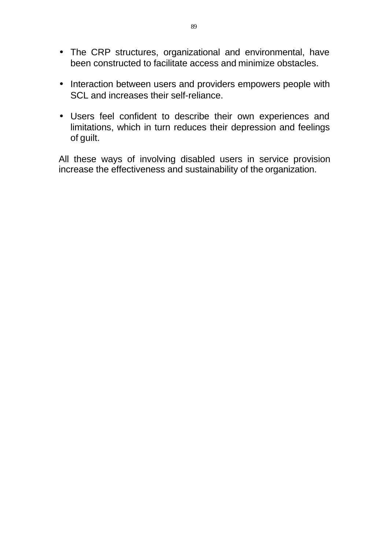- The CRP structures, organizational and environmental, have been constructed to facilitate access and minimize obstacles.
- Interaction between users and providers empowers people with SCL and increases their self-reliance.
- Users feel confident to describe their own experiences and limitations, which in turn reduces their depression and feelings of guilt.

All these ways of involving disabled users in service provision increase the effectiveness and sustainability of the organization.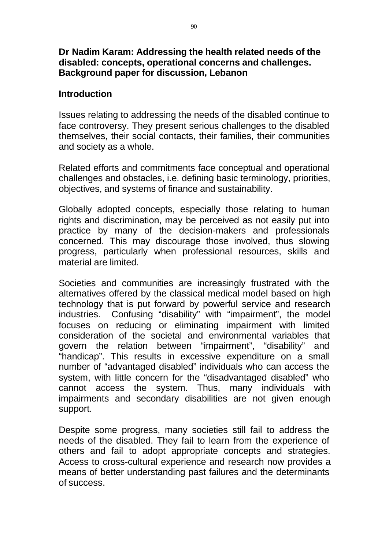### **Dr Nadim Karam: Addressing the health related needs of the disabled: concepts, operational concerns and challenges. Background paper for discussion, Lebanon**

#### **Introduction**

Issues relating to addressing the needs of the disabled continue to face controversy. They present serious challenges to the disabled themselves, their social contacts, their families, their communities and society as a whole.

Related efforts and commitments face conceptual and operational challenges and obstacles, i.e. defining basic terminology, priorities, objectives, and systems of finance and sustainability.

Globally adopted concepts, especially those relating to human rights and discrimination, may be perceived as not easily put into practice by many of the decision-makers and professionals concerned. This may discourage those involved, thus slowing progress, particularly when professional resources, skills and material are limited.

Societies and communities are increasingly frustrated with the alternatives offered by the classical medical model based on high technology that is put forward by powerful service and research industries. Confusing "disability" with "impairment", the model focuses on reducing or eliminating impairment with limited consideration of the societal and environmental variables that govern the relation between "impairment", "disability" and "handicap". This results in excessive expenditure on a small number of "advantaged disabled" individuals who can access the system, with little concern for the "disadvantaged disabled" who cannot access the system. Thus, many individuals with impairments and secondary disabilities are not given enough support.

Despite some progress, many societies still fail to address the needs of the disabled. They fail to learn from the experience of others and fail to adopt appropriate concepts and strategies. Access to cross-cultural experience and research now provides a means of better understanding past failures and the determinants of success.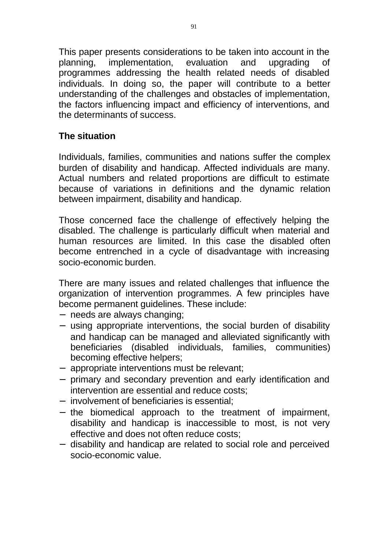This paper presents considerations to be taken into account in the planning, implementation, evaluation and upgrading of programmes addressing the health related needs of disabled individuals. In doing so, the paper will contribute to a better understanding of the challenges and obstacles of implementation, the factors influencing impact and efficiency of interventions, and the determinants of success.

# **The situation**

Individuals, families, communities and nations suffer the complex burden of disability and handicap. Affected individuals are many. Actual numbers and related proportions are difficult to estimate because of variations in definitions and the dynamic relation between impairment, disability and handicap.

Those concerned face the challenge of effectively helping the disabled. The challenge is particularly difficult when material and human resources are limited. In this case the disabled often become entrenched in a cycle of disadvantage with increasing socio-economic burden.

There are many issues and related challenges that influence the organization of intervention programmes. A few principles have become permanent guidelines. These include:

- needs are always changing;
- using appropriate interventions, the social burden of disability and handicap can be managed and alleviated significantly with beneficiaries (disabled individuals, families, communities) becoming effective helpers;
- appropriate interventions must be relevant;
- primary and secondary prevention and early identification and intervention are essential and reduce costs;
- involvement of beneficiaries is essential;
- the biomedical approach to the treatment of impairment, disability and handicap is inaccessible to most, is not very effective and does not often reduce costs;
- disability and handicap are related to social role and perceived socio-economic value.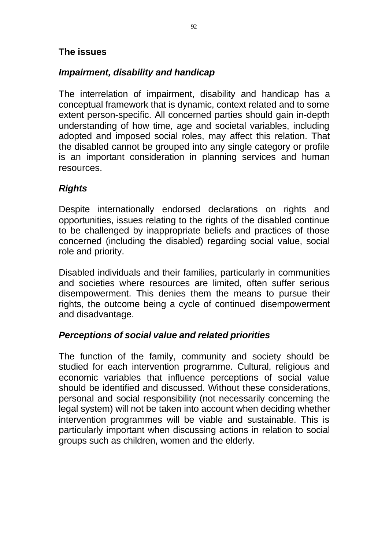## **The issues**

# *Impairment, disability and handicap*

The interrelation of impairment, disability and handicap has a conceptual framework that is dynamic, context related and to some extent person-specific. All concerned parties should gain in-depth understanding of how time, age and societal variables, including adopted and imposed social roles, may affect this relation. That the disabled cannot be grouped into any single category or profile is an important consideration in planning services and human resources.

# *Rights*

Despite internationally endorsed declarations on rights and opportunities, issues relating to the rights of the disabled continue to be challenged by inappropriate beliefs and practices of those concerned (including the disabled) regarding social value, social role and priority.

Disabled individuals and their families, particularly in communities and societies where resources are limited, often suffer serious disempowerment. This denies them the means to pursue their rights, the outcome being a cycle of continued disempowerment and disadvantage.

## *Perceptions of social value and related priorities*

The function of the family, community and society should be studied for each intervention programme. Cultural, religious and economic variables that influence perceptions of social value should be identified and discussed. Without these considerations, personal and social responsibility (not necessarily concerning the legal system) will not be taken into account when deciding whether intervention programmes will be viable and sustainable. This is particularly important when discussing actions in relation to social groups such as children, women and the elderly.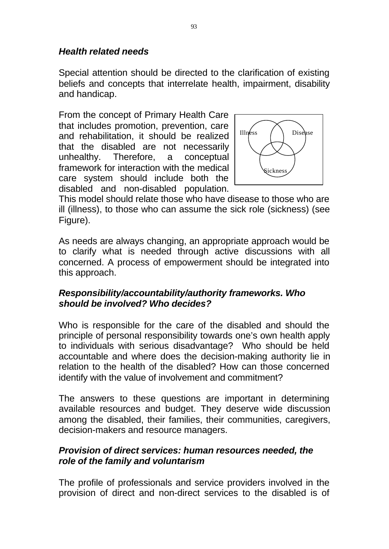# *Health related needs*

Special attention should be directed to the clarification of existing beliefs and concepts that interrelate health, impairment, disability and handicap.

From the concept of Primary Health Care that includes promotion, prevention, care and rehabilitation, it should be realized  $\vert$  Illness  $\vert$  Disease that the disabled are not necessarily unhealthy. Therefore, a conceptual framework for interaction with the medical care system should include both the disabled and non-disabled population.



This model should relate those who have disease to those who are ill (illness), to those who can assume the sick role (sickness) (see Figure).

As needs are always changing, an appropriate approach would be to clarify what is needed through active discussions with all concerned. A process of empowerment should be integrated into this approach.

## *Responsibility/accountability/authority frameworks. Who should be involved? Who decides?*

Who is responsible for the care of the disabled and should the principle of personal responsibility towards one's own health apply to individuals with serious disadvantage? Who should be held accountable and where does the decision-making authority lie in relation to the health of the disabled? How can those concerned identify with the value of involvement and commitment?

The answers to these questions are important in determining available resources and budget. They deserve wide discussion among the disabled, their families, their communities, caregivers, decision-makers and resource managers.

# *Provision of direct services: human resources needed, the role of the family and voluntarism*

The profile of professionals and service providers involved in the provision of direct and non-direct services to the disabled is of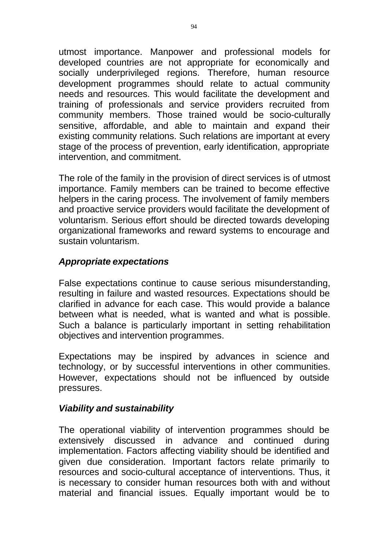utmost importance. Manpower and professional models for developed countries are not appropriate for economically and socially underprivileged regions. Therefore, human resource development programmes should relate to actual community needs and resources. This would facilitate the development and training of professionals and service providers recruited from community members. Those trained would be socio-culturally sensitive, affordable, and able to maintain and expand their existing community relations. Such relations are important at every stage of the process of prevention, early identification, appropriate intervention, and commitment.

The role of the family in the provision of direct services is of utmost importance. Family members can be trained to become effective helpers in the caring process. The involvement of family members and proactive service providers would facilitate the development of voluntarism. Serious effort should be directed towards developing organizational frameworks and reward systems to encourage and sustain voluntarism.

# *Appropriate expectations*

False expectations continue to cause serious misunderstanding, resulting in failure and wasted resources. Expectations should be clarified in advance for each case. This would provide a balance between what is needed, what is wanted and what is possible. Such a balance is particularly important in setting rehabilitation objectives and intervention programmes.

Expectations may be inspired by advances in science and technology, or by successful interventions in other communities. However, expectations should not be influenced by outside pressures.

# *Viability and sustainability*

The operational viability of intervention programmes should be extensively discussed in advance and continued during implementation. Factors affecting viability should be identified and given due consideration. Important factors relate primarily to resources and socio-cultural acceptance of interventions. Thus, it is necessary to consider human resources both with and without material and financial issues. Equally important would be to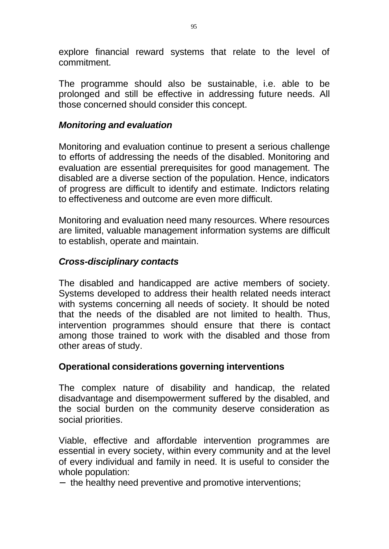explore financial reward systems that relate to the level of commitment.

The programme should also be sustainable, i.e. able to be prolonged and still be effective in addressing future needs. All those concerned should consider this concept.

## *Monitoring and evaluation*

Monitoring and evaluation continue to present a serious challenge to efforts of addressing the needs of the disabled. Monitoring and evaluation are essential prerequisites for good management. The disabled are a diverse section of the population. Hence, indicators of progress are difficult to identify and estimate. Indictors relating to effectiveness and outcome are even more difficult.

Monitoring and evaluation need many resources. Where resources are limited, valuable management information systems are difficult to establish, operate and maintain.

## *Cross-disciplinary contacts*

The disabled and handicapped are active members of society. Systems developed to address their health related needs interact with systems concerning all needs of society. It should be noted that the needs of the disabled are not limited to health. Thus, intervention programmes should ensure that there is contact among those trained to work with the disabled and those from other areas of study.

## **Operational considerations governing interventions**

The complex nature of disability and handicap, the related disadvantage and disempowerment suffered by the disabled, and the social burden on the community deserve consideration as social priorities.

Viable, effective and affordable intervention programmes are essential in every society, within every community and at the level of every individual and family in need. It is useful to consider the whole population:

- the healthy need preventive and promotive interventions;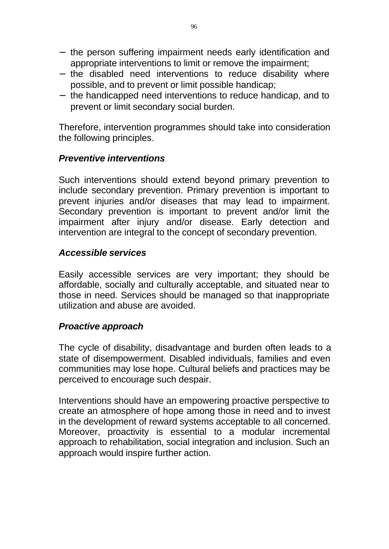- the person suffering impairment needs early identification and appropriate interventions to limit or remove the impairment;
- the disabled need interventions to reduce disability where possible, and to prevent or limit possible handicap;
- the handicapped need interventions to reduce handicap, and to prevent or limit secondary social burden.

Therefore, intervention programmes should take into consideration the following principles.

#### *Preventive interventions*

Such interventions should extend beyond primary prevention to include secondary prevention. Primary prevention is important to prevent injuries and/or diseases that may lead to impairment. Secondary prevention is important to prevent and/or limit the impairment after injury and/or disease. Early detection and intervention are integral to the concept of secondary prevention.

#### *Accessible services*

Easily accessible services are very important; they should be affordable, socially and culturally acceptable, and situated near to those in need. Services should be managed so that inappropriate utilization and abuse are avoided.

#### *Proactive approach*

The cycle of disability, disadvantage and burden often leads to a state of disempowerment. Disabled individuals, families and even communities may lose hope. Cultural beliefs and practices may be perceived to encourage such despair.

Interventions should have an empowering proactive perspective to create an atmosphere of hope among those in need and to invest in the development of reward systems acceptable to all concerned. Moreover, proactivity is essential to a modular incremental approach to rehabilitation, social integration and inclusion. Such an approach would inspire further action.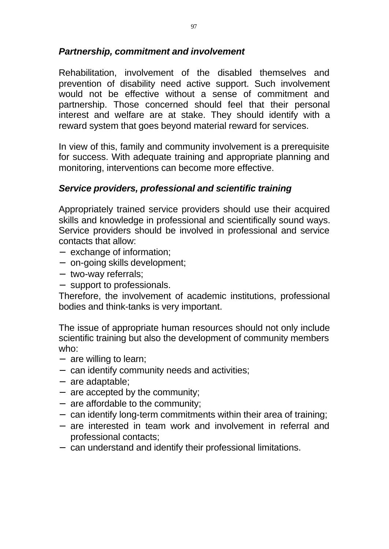## *Partnership, commitment and involvement*

Rehabilitation, involvement of the disabled themselves and prevention of disability need active support. Such involvement would not be effective without a sense of commitment and partnership. Those concerned should feel that their personal interest and welfare are at stake. They should identify with a reward system that goes beyond material reward for services.

In view of this, family and community involvement is a prerequisite for success. With adequate training and appropriate planning and monitoring, interventions can become more effective.

# *Service providers, professional and scientific training*

Appropriately trained service providers should use their acquired skills and knowledge in professional and scientifically sound ways. Service providers should be involved in professional and service contacts that allow:

- exchange of information;
- on-going skills development;
- two-way referrals;
- support to professionals.

Therefore, the involvement of academic institutions, professional bodies and think-tanks is very important.

The issue of appropriate human resources should not only include scientific training but also the development of community members who:

- $-$  are willing to learn;
- can identify community needs and activities;
- are adaptable;
- are accepted by the community;
- are affordable to the community;
- can identify long-term commitments within their area of training;
- are interested in team work and involvement in referral and professional contacts;
- can understand and identify their professional limitations.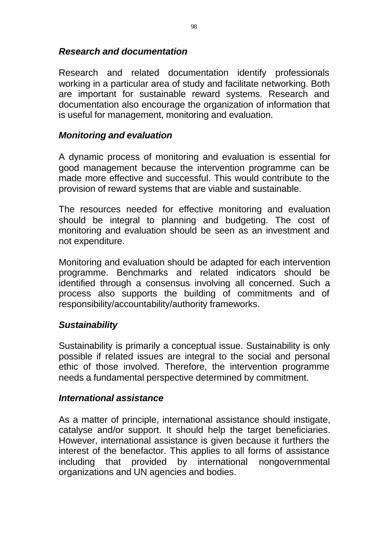# *Research and documentation*

Research and related documentation identify professionals working in a particular area of study and facilitate networking. Both are important for sustainable reward systems. Research and documentation also encourage the organization of information that is useful for management, monitoring and evaluation.

# *Monitoring and evaluation*

A dynamic process of monitoring and evaluation is essential for good management because the intervention programme can be made more effective and successful. This would contribute to the provision of reward systems that are viable and sustainable.

The resources needed for effective monitoring and evaluation should be integral to planning and budgeting. The cost of monitoring and evaluation should be seen as an investment and not expenditure.

Monitoring and evaluation should be adapted for each intervention programme. Benchmarks and related indicators should be identified through a consensus involving all concerned. Such a process also supports the building of commitments and of responsibility/accountability/authority frameworks.

## *Sustainability*

Sustainability is primarily a conceptual issue. Sustainability is only possible if related issues are integral to the social and personal ethic of those involved. Therefore, the intervention programme needs a fundamental perspective determined by commitment.

## *International assistance*

As a matter of principle, international assistance should instigate, catalyse and/or support. It should help the target beneficiaries. However, international assistance is given because it furthers the interest of the benefactor. This applies to all forms of assistance including that provided by international nongovernmental organizations and UN agencies and bodies.